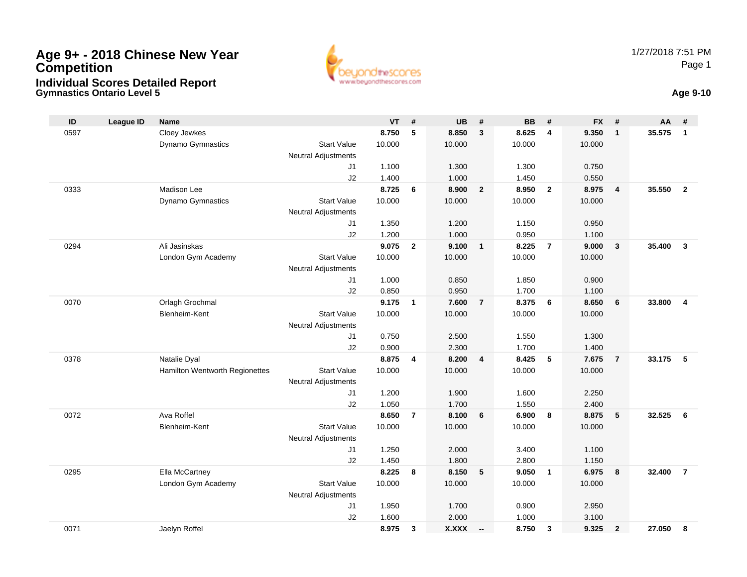# **Age 9+ - 2018 Chinese New Year CompetitionIndividual Scores Detailed Report**



# **Gymnastics Ontario Level 5 Age 9-10**

| ID   | <b>League ID</b> | <b>Name</b>                    |                                  | <b>VT</b> | #                       | <b>UB</b>    | #                        | <b>BB</b> | #              | <b>FX</b> | #              | AA     | #              |
|------|------------------|--------------------------------|----------------------------------|-----------|-------------------------|--------------|--------------------------|-----------|----------------|-----------|----------------|--------|----------------|
| 0597 |                  | Cloey Jewkes                   |                                  | 8.750     | 5                       | 8.850        | 3                        | 8.625     | 4              | 9.350     | $\mathbf{1}$   | 35.575 | $\mathbf{1}$   |
|      |                  | Dynamo Gymnastics              | <b>Start Value</b>               | 10.000    |                         | 10.000       |                          | 10.000    |                | 10.000    |                |        |                |
|      |                  |                                | <b>Neutral Adjustments</b>       |           |                         |              |                          |           |                |           |                |        |                |
|      |                  |                                | J1                               | 1.100     |                         | 1.300        |                          | 1.300     |                | 0.750     |                |        |                |
|      |                  |                                | J2                               | 1.400     |                         | 1.000        |                          | 1.450     |                | 0.550     |                |        |                |
| 0333 |                  | <b>Madison Lee</b>             |                                  | 8.725     | 6                       | 8.900        | $\mathbf{2}$             | 8.950     | $\overline{2}$ | 8.975     | $\overline{4}$ | 35.550 | $\overline{2}$ |
|      |                  | Dynamo Gymnastics              | <b>Start Value</b>               | 10.000    |                         | 10.000       |                          | 10.000    |                | 10.000    |                |        |                |
|      |                  |                                | <b>Neutral Adjustments</b>       |           |                         |              |                          |           |                |           |                |        |                |
|      |                  |                                | J1                               | 1.350     |                         | 1.200        |                          | 1.150     |                | 0.950     |                |        |                |
|      |                  |                                | J2                               | 1.200     |                         | 1.000        |                          | 0.950     |                | 1.100     |                |        |                |
| 0294 |                  | Ali Jasinskas                  |                                  | 9.075     | $\overline{2}$          | 9.100        | $\mathbf{1}$             | 8.225     | $\overline{7}$ | 9.000     | $\mathbf{3}$   | 35,400 | $\mathbf{3}$   |
|      |                  | London Gym Academy             | <b>Start Value</b>               | 10.000    |                         | 10.000       |                          | 10.000    |                | 10.000    |                |        |                |
|      |                  |                                | <b>Neutral Adjustments</b><br>J1 | 1.000     |                         | 0.850        |                          | 1.850     |                | 0.900     |                |        |                |
|      |                  |                                | J2                               | 0.850     |                         | 0.950        |                          | 1.700     |                | 1.100     |                |        |                |
| 0070 |                  | Orlagh Grochmal                |                                  | 9.175     | $\mathbf{1}$            | 7.600        | $\overline{7}$           | 8.375     | 6              | 8.650     | 6              | 33.800 | $\overline{4}$ |
|      |                  | <b>Blenheim-Kent</b>           | <b>Start Value</b>               | 10.000    |                         | 10.000       |                          | 10.000    |                | 10.000    |                |        |                |
|      |                  |                                | Neutral Adjustments              |           |                         |              |                          |           |                |           |                |        |                |
|      |                  |                                | J1                               | 0.750     |                         | 2.500        |                          | 1.550     |                | 1.300     |                |        |                |
|      |                  |                                | J2                               | 0.900     |                         | 2.300        |                          | 1.700     |                | 1.400     |                |        |                |
| 0378 |                  | Natalie Dyal                   |                                  | 8.875     | $\overline{\mathbf{4}}$ | 8.200        | $\overline{\mathbf{4}}$  | 8.425     | 5              | 7.675     | $\overline{7}$ | 33.175 | 5              |
|      |                  | Hamilton Wentworth Regionettes | <b>Start Value</b>               | 10.000    |                         | 10.000       |                          | 10.000    |                | 10.000    |                |        |                |
|      |                  |                                | <b>Neutral Adjustments</b>       |           |                         |              |                          |           |                |           |                |        |                |
|      |                  |                                | J1                               | 1.200     |                         | 1.900        |                          | 1.600     |                | 2.250     |                |        |                |
|      |                  |                                | J2                               | 1.050     |                         | 1.700        |                          | 1.550     |                | 2.400     |                |        |                |
| 0072 |                  | Ava Roffel                     |                                  | 8.650     | $\overline{7}$          | 8.100        | 6                        | 6.900     | 8              | 8.875     | 5              | 32.525 | 6              |
|      |                  | Blenheim-Kent                  | <b>Start Value</b>               | 10.000    |                         | 10.000       |                          | 10.000    |                | 10.000    |                |        |                |
|      |                  |                                | Neutral Adjustments              |           |                         |              |                          |           |                |           |                |        |                |
|      |                  |                                | J1                               | 1.250     |                         | 2.000        |                          | 3.400     |                | 1.100     |                |        |                |
|      |                  |                                | J2                               | 1.450     |                         | 1.800        |                          | 2.800     |                | 1.150     |                |        |                |
| 0295 |                  | Ella McCartney                 |                                  | 8.225     | 8                       | 8.150        | 5                        | 9.050     | $\mathbf{1}$   | 6.975     | 8              | 32.400 | $\overline{7}$ |
|      |                  | London Gym Academy             | <b>Start Value</b>               | 10.000    |                         | 10.000       |                          | 10.000    |                | 10.000    |                |        |                |
|      |                  |                                | Neutral Adjustments              |           |                         |              |                          |           |                |           |                |        |                |
|      |                  |                                | J1                               | 1.950     |                         | 1.700        |                          | 0.900     |                | 2.950     |                |        |                |
|      |                  |                                | J2                               | 1.600     |                         | 2.000        |                          | 1.000     |                | 3.100     |                |        |                |
| 0071 |                  | Jaelyn Roffel                  |                                  | 8.975     | 3                       | <b>X.XXX</b> | $\overline{\phantom{a}}$ | 8.750     | 3              | 9.325     | $\overline{2}$ | 27.050 | 8              |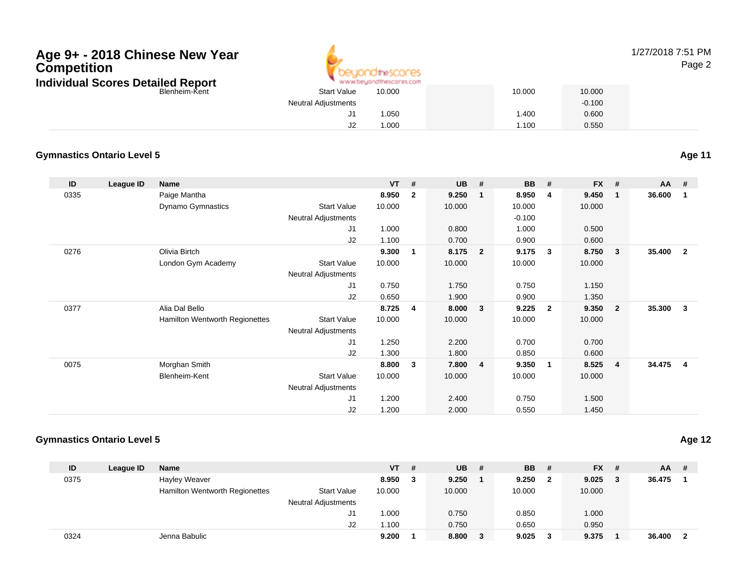### Blenheim-Kent**Age 9+ - 2018 Chinese New YearCompetitionIndividual Scores Detailed Report**



### 1/27/2018 7:51 PMPage 2

| 10.000 | 10.000                                                                      | 10.000   |
|--------|-----------------------------------------------------------------------------|----------|
|        |                                                                             | $-0.100$ |
| .050   | 1.400                                                                       | 0.600    |
| .000   | 1.100                                                                       | 0.550    |
|        | www.beyondthescores.com<br><b>Start Value</b><br><b>Neutral Adjustments</b> |          |

#### **Gymnastics Ontario Level 5Age 11**

**ID League ID Name VT # UB # BB # FX # AA #** 0335 Paige Mantha **8.950 <sup>2</sup> 9.250 <sup>1</sup> 8.950 <sup>4</sup> 9.450 <sup>1</sup> 36.600 <sup>1</sup>** Dynamo Gymnastics Start Valuee 10.000 10.000 10.000 10.000 Neutral Adjustments $-0.100$ 1.000 J1 1.000 0.800 1.000 0.500 J2 1.100 0.700 0.900 0.600 0276 Olivia Birtch **9.300 <sup>1</sup> 8.175 <sup>2</sup> 9.175 <sup>3</sup> 8.750 <sup>3</sup> 35.400 <sup>2</sup>** London Gym Academy Start Valuee 10.000 10.000 10.000 10.000 Neutral Adjustments J1 0.750 1.750 0.750 1.150 J2 0.650 1.900 0.900 1.350 0377 Alia Dal Bello **8.725 <sup>4</sup> 8.000 <sup>3</sup> 9.225 <sup>2</sup> 9.350 <sup>2</sup> 35.300 <sup>3</sup>** Hamilton Wentworth Regionettes Start Valuee 10.000 10.000 10.000 10.000 Neutral Adjustments J1 1.250 2.200 0.700 0.700 J2 1.300 1.800 0.850 0.600 0075 Morghan Smith **8.800 <sup>3</sup> 7.800 <sup>4</sup> 9.350 <sup>1</sup> 8.525 <sup>4</sup> 34.475 <sup>4</sup>** Blenheim-Kent Start Valuee 10.000 10.000 10.000 10.000 Neutral Adjustments J1 1.200 2.400 0.750 1.500 J21.200 2.000 0.550 1.450

### **Gymnastics Ontario Level 5**

| $AA$ #   |
|----------|
|          |
| 36.475   |
|          |
|          |
|          |
|          |
| 36.400 2 |
|          |

**Age 12**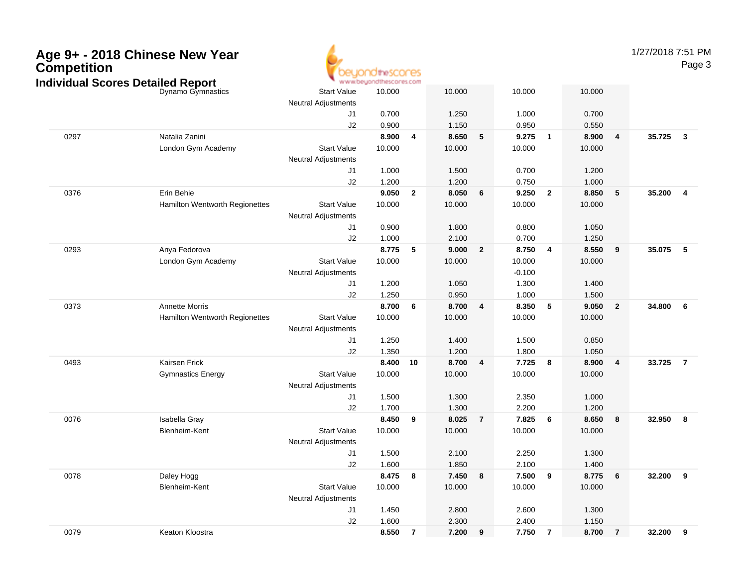| Age 9+ - 2018 Chinese New Year<br>Competition<br><b>Individual Scores Detailed Report</b> |                                | www.beyondthescores.com    |                |                         |         | 1/27/2018 7:51 PM | Page 3   |                         |         |                |          |                         |
|-------------------------------------------------------------------------------------------|--------------------------------|----------------------------|----------------|-------------------------|---------|-------------------|----------|-------------------------|---------|----------------|----------|-------------------------|
|                                                                                           | Dynamo Gymnastics              | <b>Start Value</b>         | 10.000         |                         | 10.000  |                   | 10.000   |                         | 10.000  |                |          |                         |
|                                                                                           |                                | <b>Neutral Adjustments</b> |                |                         |         |                   |          |                         |         |                |          |                         |
|                                                                                           |                                | J1                         | 0.700          |                         | 1.250   |                   | 1.000    |                         | 0.700   |                |          |                         |
|                                                                                           |                                | J2                         | 0.900          |                         | 1.150   |                   | 0.950    |                         | 0.550   |                |          |                         |
| 0297                                                                                      | Natalia Zanini                 |                            | 8.900          | $\overline{\mathbf{4}}$ | 8.650   | 5                 | 9.275    | $\overline{\mathbf{1}}$ | 8.900   | 4              | 35.725   | $\overline{\mathbf{3}}$ |
|                                                                                           | London Gym Academy             | <b>Start Value</b>         | 10.000         |                         | 10.000  |                   | 10.000   |                         | 10.000  |                |          |                         |
|                                                                                           |                                | <b>Neutral Adjustments</b> |                |                         |         |                   |          |                         |         |                |          |                         |
|                                                                                           |                                | J1                         | 1.000          |                         | 1.500   |                   | 0.700    |                         | 1.200   |                |          |                         |
|                                                                                           |                                | J2                         | 1.200          |                         | 1.200   |                   | 0.750    |                         | 1.000   |                |          |                         |
| 0376                                                                                      | Erin Behie                     |                            | 9.050          | $\overline{\mathbf{2}}$ | 8.050   | 6                 | 9.250    | $\overline{\mathbf{2}}$ | 8.850   | 5              | 35.200   | $\overline{\mathbf{4}}$ |
|                                                                                           | Hamilton Wentworth Regionettes | <b>Start Value</b>         | 10.000         |                         | 10.000  |                   | 10.000   |                         | 10.000  |                |          |                         |
|                                                                                           |                                | <b>Neutral Adjustments</b> |                |                         |         |                   |          |                         |         |                |          |                         |
|                                                                                           |                                | J1                         | 0.900          |                         | 1.800   |                   | 0.800    |                         | 1.050   |                |          |                         |
|                                                                                           |                                | J2                         | 1.000          |                         | 2.100   |                   | 0.700    |                         | 1.250   |                |          |                         |
| 0293                                                                                      | Anya Fedorova                  |                            | 8.775          | $-5$                    | 9.000   | $\overline{2}$    | 8.750    | $\overline{\mathbf{4}}$ | 8.550   | 9              | 35.075   | 5                       |
|                                                                                           | London Gym Academy             | <b>Start Value</b>         | 10.000         |                         | 10.000  |                   | 10.000   |                         | 10.000  |                |          |                         |
|                                                                                           |                                | <b>Neutral Adjustments</b> |                |                         |         |                   | $-0.100$ |                         |         |                |          |                         |
|                                                                                           |                                | J1                         | 1.200          |                         | 1.050   |                   | 1.300    |                         | 1.400   |                |          |                         |
|                                                                                           |                                | J2                         | 1.250          |                         | 0.950   |                   | 1.000    |                         | 1.500   |                |          |                         |
| 0373                                                                                      | <b>Annette Morris</b>          |                            | 8.700          | $6\phantom{1}6$         | 8.700   | 4                 | 8.350    | - 5                     | 9.050   | $\overline{2}$ | 34.800   | 6                       |
|                                                                                           | Hamilton Wentworth Regionettes | <b>Start Value</b>         | 10.000         |                         | 10.000  |                   | 10.000   |                         | 10.000  |                |          |                         |
|                                                                                           |                                | <b>Neutral Adjustments</b> |                |                         |         |                   |          |                         |         |                |          |                         |
|                                                                                           |                                | J1                         | 1.250          |                         | 1.400   |                   | 1.500    |                         | 0.850   |                |          |                         |
|                                                                                           |                                | J2                         | 1.350          |                         | 1.200   |                   | 1.800    |                         | 1.050   |                |          |                         |
| 0493                                                                                      | Kairsen Frick                  |                            | 8.400 10       |                         | 8.700   | 4                 | 7.725    | 8                       | 8.900   | 4              | 33.725   | $\overline{7}$          |
|                                                                                           | <b>Gymnastics Energy</b>       | <b>Start Value</b>         | 10.000         |                         | 10.000  |                   | 10.000   |                         | 10.000  |                |          |                         |
|                                                                                           |                                | <b>Neutral Adjustments</b> |                |                         | 1.300   |                   | 2.350    |                         | 1.000   |                |          |                         |
|                                                                                           |                                | J1<br>J2                   | 1.500<br>1.700 |                         | 1.300   |                   | 2.200    |                         | 1.200   |                |          |                         |
| 0076                                                                                      | Isabella Gray                  |                            | 8.450 9        |                         | 8.025   | $\overline{7}$    | 7.825    | 6                       | 8.650   | 8              | 32.950   | $\overline{\mathbf{8}}$ |
|                                                                                           | Blenheim-Kent                  | <b>Start Value</b>         | 10.000         |                         | 10.000  |                   | 10.000   |                         | 10.000  |                |          |                         |
|                                                                                           |                                | <b>Neutral Adjustments</b> |                |                         |         |                   |          |                         |         |                |          |                         |
|                                                                                           |                                | J <sub>1</sub>             | 1.500          |                         | 2.100   |                   | 2.250    |                         | 1.300   |                |          |                         |
|                                                                                           |                                | J2                         | 1.600          |                         | 1.850   |                   | 2.100    |                         | 1.400   |                |          |                         |
| 0078                                                                                      | Daley Hogg                     |                            | 8.475 8        |                         | 7.450 8 |                   | 7.500 9  |                         | 8.775 6 |                | 32.200 9 |                         |
|                                                                                           | Blenheim-Kent                  | <b>Start Value</b>         | 10.000         |                         | 10.000  |                   | 10.000   |                         | 10.000  |                |          |                         |
|                                                                                           |                                | <b>Neutral Adjustments</b> |                |                         |         |                   |          |                         |         |                |          |                         |
|                                                                                           |                                | J1                         | 1.450          |                         | 2.800   |                   | 2.600    |                         | 1.300   |                |          |                         |
|                                                                                           |                                | $\sf J2$                   | 1.600          |                         | 2.300   |                   | 2.400    |                         | 1.150   |                |          |                         |
| 0079                                                                                      | Keaton Kloostra                |                            | 8.550 7        |                         | 7.200 9 |                   | 7.750 7  |                         | 8.700 7 |                | 32.200 9 |                         |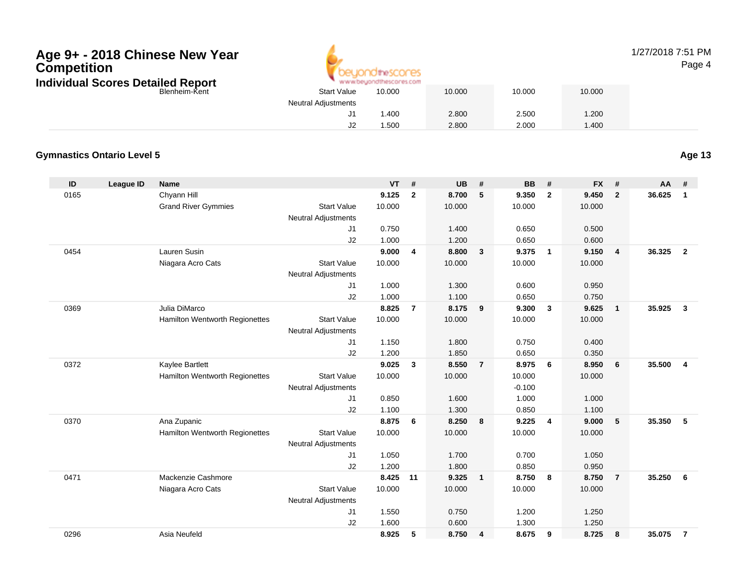# **Age 9+ - 2018 Chinese New Year CompetitionIndividu**



## 1/27/2018 7:51 PMPage 4

| ual Scores Detailed Report<br>www.beyondthescores.com   |        |        |  |  |  |  |  |  |  |
|---------------------------------------------------------|--------|--------|--|--|--|--|--|--|--|
| <b>Start Value</b><br>10.000<br>Blenheim-Kent<br>10.000 | 10.000 | 10.000 |  |  |  |  |  |  |  |
| <b>Neutral Adjustments</b>                              |        |        |  |  |  |  |  |  |  |
| 2.800<br>.400                                           | 2.500  | 1.200  |  |  |  |  |  |  |  |
| 2.800<br>. .500                                         | 2.000  | 1.400  |  |  |  |  |  |  |  |

## **Gymnastics Ontario Level 5**

**Age 13**

| ID   | <b>League ID</b> | <b>Name</b>                    |                            | <b>VT</b> | #              | <b>UB</b> | #              | <b>BB</b> | #              | <b>FX</b> | #              | <b>AA</b> | #              |
|------|------------------|--------------------------------|----------------------------|-----------|----------------|-----------|----------------|-----------|----------------|-----------|----------------|-----------|----------------|
| 0165 |                  | Chyann Hill                    |                            | 9.125     | $\mathbf{2}$   | 8.700     | 5              | 9.350     | $\overline{2}$ | 9.450     | $\overline{2}$ | 36.625    | $\mathbf{1}$   |
|      |                  | <b>Grand River Gymmies</b>     | <b>Start Value</b>         | 10.000    |                | 10.000    |                | 10.000    |                | 10.000    |                |           |                |
|      |                  |                                | <b>Neutral Adjustments</b> |           |                |           |                |           |                |           |                |           |                |
|      |                  |                                | J1                         | 0.750     |                | 1.400     |                | 0.650     |                | 0.500     |                |           |                |
|      |                  |                                | J2                         | 1.000     |                | 1.200     |                | 0.650     |                | 0.600     |                |           |                |
| 0454 |                  | Lauren Susin                   |                            | 9.000     | 4              | 8.800     | $\mathbf{3}$   | 9.375     | $\overline{1}$ | 9.150     | $\overline{4}$ | 36.325    | $\overline{2}$ |
|      |                  | Niagara Acro Cats              | <b>Start Value</b>         | 10.000    |                | 10.000    |                | 10.000    |                | 10.000    |                |           |                |
|      |                  |                                | <b>Neutral Adjustments</b> |           |                |           |                |           |                |           |                |           |                |
|      |                  |                                | J1                         | 1.000     |                | 1.300     |                | 0.600     |                | 0.950     |                |           |                |
|      |                  |                                | J2                         | 1.000     |                | 1.100     |                | 0.650     |                | 0.750     |                |           |                |
| 0369 |                  | Julia DiMarco                  |                            | 8.825     | $\overline{7}$ | 8.175     | 9              | 9.300     | $\mathbf{3}$   | 9.625     | $\mathbf{1}$   | 35.925    | 3              |
|      |                  | Hamilton Wentworth Regionettes | <b>Start Value</b>         | 10.000    |                | 10.000    |                | 10.000    |                | 10.000    |                |           |                |
|      |                  |                                | <b>Neutral Adjustments</b> |           |                |           |                |           |                |           |                |           |                |
|      |                  |                                | J1                         | 1.150     |                | 1.800     |                | 0.750     |                | 0.400     |                |           |                |
|      |                  |                                | J2                         | 1.200     |                | 1.850     |                | 0.650     |                | 0.350     |                |           |                |
| 0372 |                  | Kaylee Bartlett                |                            | 9.025     | $\mathbf{3}$   | 8.550     | $\overline{7}$ | 8.975     | - 6            | 8.950     | 6              | 35.500    | $\overline{4}$ |
|      |                  | Hamilton Wentworth Regionettes | <b>Start Value</b>         | 10.000    |                | 10.000    |                | 10.000    |                | 10.000    |                |           |                |
|      |                  |                                | <b>Neutral Adjustments</b> |           |                |           |                | $-0.100$  |                |           |                |           |                |
|      |                  |                                | J1                         | 0.850     |                | 1.600     |                | 1.000     |                | 1.000     |                |           |                |
|      |                  |                                | J2                         | 1.100     |                | 1.300     |                | 0.850     |                | 1.100     |                |           |                |
| 0370 |                  | Ana Zupanic                    |                            | 8.875     | 6              | 8.250     | 8              | 9.225     | $\overline{4}$ | 9.000     | 5              | 35.350    | 5              |
|      |                  | Hamilton Wentworth Regionettes | <b>Start Value</b>         | 10.000    |                | 10.000    |                | 10.000    |                | 10.000    |                |           |                |
|      |                  |                                | <b>Neutral Adjustments</b> |           |                |           |                |           |                |           |                |           |                |
|      |                  |                                | J1                         | 1.050     |                | 1.700     |                | 0.700     |                | 1.050     |                |           |                |
|      |                  |                                | J2                         | 1.200     |                | 1.800     |                | 0.850     |                | 0.950     |                |           |                |
| 0471 |                  | Mackenzie Cashmore             |                            | 8.425     | 11             | 9.325     | $\overline{1}$ | 8.750     | 8              | 8.750     | $\overline{7}$ | 35.250    | 6              |
|      |                  | Niagara Acro Cats              | <b>Start Value</b>         | 10.000    |                | 10.000    |                | 10.000    |                | 10.000    |                |           |                |
|      |                  |                                | <b>Neutral Adjustments</b> |           |                |           |                |           |                |           |                |           |                |
|      |                  |                                | J1                         | 1.550     |                | 0.750     |                | 1.200     |                | 1.250     |                |           |                |
|      |                  |                                | J2                         | 1.600     |                | 0.600     |                | 1.300     |                | 1.250     |                |           |                |
| 0296 |                  | Asia Neufeld                   |                            | 8.925     | 5              | 8.750     | $\overline{4}$ | 8.675     | 9              | 8.725     | 8              | 35.075    | $\overline{7}$ |
|      |                  |                                |                            |           |                |           |                |           |                |           |                |           |                |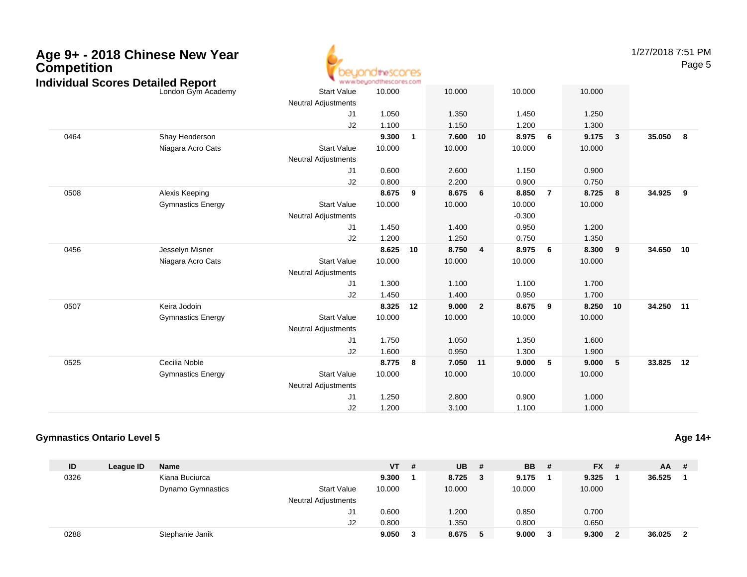| <b>Competition</b> | Age 9+ - 2018 Chinese New Year<br><b>Individual Scores Detailed Report</b> | direscores<br>www.beyondthescores.com            |                |                |                |                |                |                |                |              |        | 1/27/2018 7:51 PM<br>Page 5 |  |
|--------------------|----------------------------------------------------------------------------|--------------------------------------------------|----------------|----------------|----------------|----------------|----------------|----------------|----------------|--------------|--------|-----------------------------|--|
|                    | London Gym Academy                                                         | <b>Start Value</b><br>Neutral Adjustments        | 10.000         |                | 10.000         |                | 10.000         |                | 10.000         |              |        |                             |  |
|                    |                                                                            | J1<br>J2                                         | 1.050<br>1.100 |                | 1.350<br>1.150 |                | 1.450<br>1.200 |                | 1.250<br>1.300 |              |        |                             |  |
| 0464               | Shay Henderson                                                             |                                                  | 9.300          | $\overline{1}$ | 7.600          | 10             | 8.975          | - 6            | 9.175          | $\mathbf{3}$ | 35.050 | - 8                         |  |
|                    | Niagara Acro Cats                                                          | <b>Start Value</b><br><b>Neutral Adjustments</b> | 10.000         |                | 10.000         |                | 10.000         |                | 10.000         |              |        |                             |  |
|                    |                                                                            | J <sub>1</sub>                                   | 0.600          |                | 2.600          |                | 1.150          |                | 0.900          |              |        |                             |  |
|                    |                                                                            | J2                                               | 0.800          |                | 2.200          |                | 0.900          |                | 0.750          |              |        |                             |  |
| 0508               | Alexis Keeping                                                             |                                                  | 8.675          | 9              | 8.675          | 6              | 8.850          | $\overline{7}$ | 8.725          | 8            | 34.925 | 9                           |  |
|                    | <b>Gymnastics Energy</b>                                                   | <b>Start Value</b>                               | 10.000         |                | 10.000         |                | 10.000         |                | 10.000         |              |        |                             |  |
|                    |                                                                            | <b>Neutral Adjustments</b>                       |                |                |                |                | $-0.300$       |                |                |              |        |                             |  |
|                    |                                                                            | J1                                               | 1.450          |                | 1.400          |                | 0.950          |                | 1.200          |              |        |                             |  |
|                    |                                                                            | J2                                               | 1.200          |                | 1.250          |                | 0.750          |                | 1.350          |              |        |                             |  |
| 0456               | Jesselyn Misner                                                            |                                                  | 8.625          | 10             | 8.750          | 4              | 8.975          | - 6            | 8.300          | 9            | 34.650 | 10                          |  |
|                    | Niagara Acro Cats                                                          | <b>Start Value</b><br><b>Neutral Adjustments</b> | 10.000         |                | 10.000         |                | 10.000         |                | 10.000         |              |        |                             |  |
|                    |                                                                            | J1                                               | 1.300          |                | 1.100          |                | 1.100          |                | 1.700          |              |        |                             |  |
|                    |                                                                            | J2                                               | 1.450          |                | 1.400          |                | 0.950          |                | 1.700          |              |        |                             |  |
| 0507               | Keira Jodoin                                                               |                                                  | 8.325          | 12             | 9.000          | $\overline{2}$ | 8.675          | - 9            | 8.250          | 10           | 34.250 | 11                          |  |
|                    | <b>Gymnastics Energy</b>                                                   | <b>Start Value</b><br>Neutral Adjustments        | 10.000         |                | 10.000         |                | 10.000         |                | 10.000         |              |        |                             |  |
|                    |                                                                            | J1                                               | 1.750          |                | 1.050          |                | 1.350          |                | 1.600          |              |        |                             |  |
|                    |                                                                            | J2                                               | 1.600          |                | 0.950          |                | 1.300          |                | 1.900          |              |        |                             |  |
| 0525               | Cecilia Noble                                                              |                                                  | 8.775          | 8              | 7.050          | 11             | 9.000          | 5              | 9.000          | 5            | 33.825 | 12                          |  |
|                    | <b>Gymnastics Energy</b>                                                   | <b>Start Value</b>                               | 10.000         |                | 10.000         |                | 10.000         |                | 10.000         |              |        |                             |  |
|                    |                                                                            | <b>Neutral Adjustments</b>                       |                |                |                |                |                |                |                |              |        |                             |  |
|                    |                                                                            | J <sub>1</sub>                                   | 1.250          |                | 2.800          |                | 0.900          |                | 1.000          |              |        |                             |  |
|                    |                                                                            | J2                                               | 1.200          |                | 3.100          |                | 1.100          |                | 1.000          |              |        |                             |  |

#### **Gymnastics Ontario Level 5Age 14+**

| ID   | League ID | <b>Name</b>              |                            | <b>VT</b> | # | <b>UB</b> | #  | <b>BB</b> | # | $FX$ # |   | $AA$ # |                         |
|------|-----------|--------------------------|----------------------------|-----------|---|-----------|----|-----------|---|--------|---|--------|-------------------------|
| 0326 |           | Kiana Buciurca           |                            | 9.300     |   | 8.725     | -3 | 9.175     |   | 9.325  |   | 36.525 |                         |
|      |           | <b>Dynamo Gymnastics</b> | <b>Start Value</b>         | 10.000    |   | 10.000    |    | 10.000    |   | 10.000 |   |        |                         |
|      |           |                          | <b>Neutral Adjustments</b> |           |   |           |    |           |   |        |   |        |                         |
|      |           |                          | J1                         | 0.600     |   | 1.200     |    | 0.850     |   | 0.700  |   |        |                         |
|      |           |                          | J <sub>2</sub>             | 0.800     |   | 1.350     |    | 0.800     |   | 0.650  |   |        |                         |
| 0288 |           | Stephanie Janik          |                            | 9.050     |   | 8.675     | 5  | 9.000     | 3 | 9.300  | 2 | 36.025 | $\overline{\mathbf{2}}$ |